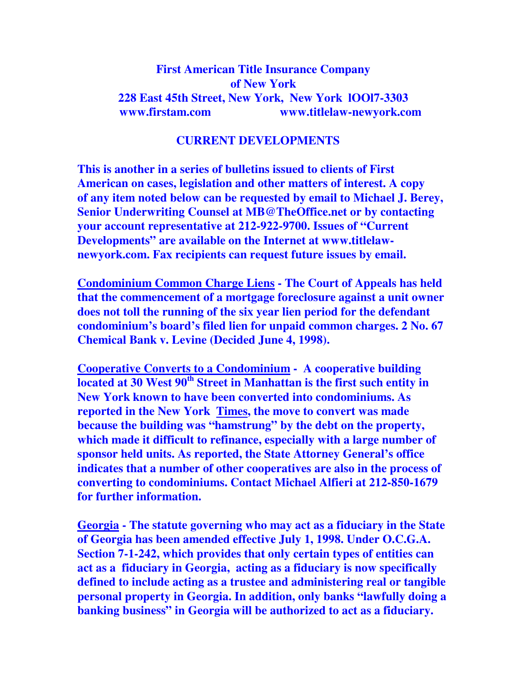## **First American Title Insurance Company of New York 228 East 45th Street, New York, New York lOOl7-3303 www.firstam.com www.titlelaw-newyork.com**

## **CURRENT DEVELOPMENTS**

**This is another in a series of bulletins issued to clients of First American on cases, legislation and other matters of interest. A copy of any item noted below can be requested by email to Michael J. Berey, Senior Underwriting Counsel at MB@TheOffice.net or by contacting your account representative at 212-922-9700. Issues of "Current Developments" are available on the Internet at www.titlelawnewyork.com. Fax recipients can request future issues by email.** 

**Condominium Common Charge Liens - The Court of Appeals has held that the commencement of a mortgage foreclosure against a unit owner does not toll the running of the six year lien period for the defendant condominium's board's filed lien for unpaid common charges. 2 No. 67 Chemical Bank v. Levine (Decided June 4, 1998).** 

**Cooperative Converts to a Condominium - A cooperative building located at 30 West 90th Street in Manhattan is the first such entity in New York known to have been converted into condominiums. As reported in the New York Times, the move to convert was made because the building was "hamstrung" by the debt on the property, which made it difficult to refinance, especially with a large number of sponsor held units. As reported, the State Attorney General's office indicates that a number of other cooperatives are also in the process of converting to condominiums. Contact Michael Alfieri at 212-850-1679 for further information.** 

**Georgia - The statute governing who may act as a fiduciary in the State of Georgia has been amended effective July 1, 1998. Under O.C.G.A. Section 7-1-242, which provides that only certain types of entities can act as a fiduciary in Georgia, acting as a fiduciary is now specifically defined to include acting as a trustee and administering real or tangible personal property in Georgia. In addition, only banks "lawfully doing a banking business" in Georgia will be authorized to act as a fiduciary.**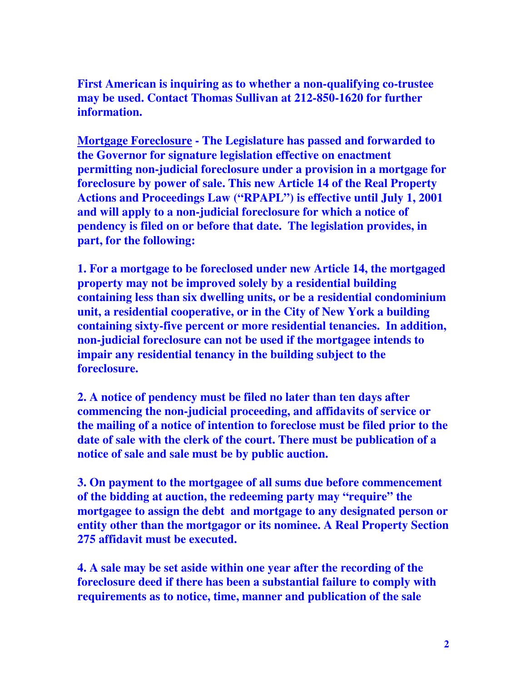**First American is inquiring as to whether a non-qualifying co-trustee may be used. Contact Thomas Sullivan at 212-850-1620 for further information.** 

**Mortgage Foreclosure - The Legislature has passed and forwarded to the Governor for signature legislation effective on enactment permitting non-judicial foreclosure under a provision in a mortgage for foreclosure by power of sale. This new Article 14 of the Real Property Actions and Proceedings Law ("RPAPL") is effective until July 1, 2001 and will apply to a non-judicial foreclosure for which a notice of pendency is filed on or before that date. The legislation provides, in part, for the following:** 

**1. For a mortgage to be foreclosed under new Article 14, the mortgaged property may not be improved solely by a residential building containing less than six dwelling units, or be a residential condominium unit, a residential cooperative, or in the City of New York a building containing sixty-five percent or more residential tenancies. In addition, non-judicial foreclosure can not be used if the mortgagee intends to impair any residential tenancy in the building subject to the foreclosure.** 

**2. A notice of pendency must be filed no later than ten days after commencing the non-judicial proceeding, and affidavits of service or the mailing of a notice of intention to foreclose must be filed prior to the date of sale with the clerk of the court. There must be publication of a notice of sale and sale must be by public auction.** 

**3. On payment to the mortgagee of all sums due before commencement of the bidding at auction, the redeeming party may "require" the mortgagee to assign the debt and mortgage to any designated person or entity other than the mortgagor or its nominee. A Real Property Section 275 affidavit must be executed.** 

**4. A sale may be set aside within one year after the recording of the foreclosure deed if there has been a substantial failure to comply with requirements as to notice, time, manner and publication of the sale**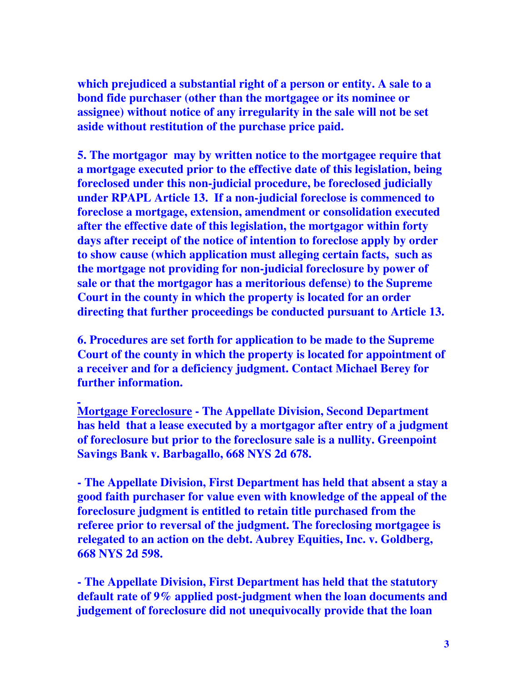**which prejudiced a substantial right of a person or entity. A sale to a bond fide purchaser (other than the mortgagee or its nominee or assignee) without notice of any irregularity in the sale will not be set aside without restitution of the purchase price paid.** 

**5. The mortgagor may by written notice to the mortgagee require that a mortgage executed prior to the effective date of this legislation, being foreclosed under this non-judicial procedure, be foreclosed judicially under RPAPL Article 13. If a non-judicial foreclose is commenced to foreclose a mortgage, extension, amendment or consolidation executed after the effective date of this legislation, the mortgagor within forty days after receipt of the notice of intention to foreclose apply by order to show cause (which application must alleging certain facts, such as the mortgage not providing for non-judicial foreclosure by power of sale or that the mortgagor has a meritorious defense) to the Supreme Court in the county in which the property is located for an order directing that further proceedings be conducted pursuant to Article 13.** 

**6. Procedures are set forth for application to be made to the Supreme Court of the county in which the property is located for appointment of a receiver and for a deficiency judgment. Contact Michael Berey for further information.** 

**Mortgage Foreclosure - The Appellate Division, Second Department has held that a lease executed by a mortgagor after entry of a judgment of foreclosure but prior to the foreclosure sale is a nullity. Greenpoint Savings Bank v. Barbagallo, 668 NYS 2d 678.** 

**- The Appellate Division, First Department has held that absent a stay a good faith purchaser for value even with knowledge of the appeal of the foreclosure judgment is entitled to retain title purchased from the referee prior to reversal of the judgment. The foreclosing mortgagee is relegated to an action on the debt. Aubrey Equities, Inc. v. Goldberg, 668 NYS 2d 598.** 

**- The Appellate Division, First Department has held that the statutory default rate of 9% applied post-judgment when the loan documents and judgement of foreclosure did not unequivocally provide that the loan**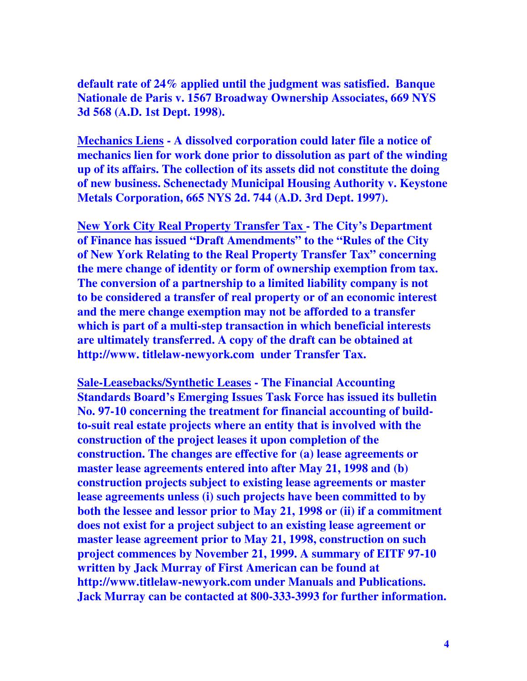**default rate of 24% applied until the judgment was satisfied. Banque Nationale de Paris v. 1567 Broadway Ownership Associates, 669 NYS 3d 568 (A.D. 1st Dept. 1998).** 

**Mechanics Liens - A dissolved corporation could later file a notice of mechanics lien for work done prior to dissolution as part of the winding up of its affairs. The collection of its assets did not constitute the doing of new business. Schenectady Municipal Housing Authority v. Keystone Metals Corporation, 665 NYS 2d. 744 (A.D. 3rd Dept. 1997).** 

**New York City Real Property Transfer Tax - The City's Department of Finance has issued "Draft Amendments" to the "Rules of the City of New York Relating to the Real Property Transfer Tax" concerning the mere change of identity or form of ownership exemption from tax. The conversion of a partnership to a limited liability company is not to be considered a transfer of real property or of an economic interest and the mere change exemption may not be afforded to a transfer which is part of a multi-step transaction in which beneficial interests are ultimately transferred. A copy of the draft can be obtained at http://www. titlelaw-newyork.com under Transfer Tax.** 

**Sale-Leasebacks/Synthetic Leases - The Financial Accounting Standards Board's Emerging Issues Task Force has issued its bulletin No. 97-10 concerning the treatment for financial accounting of buildto-suit real estate projects where an entity that is involved with the construction of the project leases it upon completion of the construction. The changes are effective for (a) lease agreements or master lease agreements entered into after May 21, 1998 and (b) construction projects subject to existing lease agreements or master lease agreements unless (i) such projects have been committed to by both the lessee and lessor prior to May 21, 1998 or (ii) if a commitment does not exist for a project subject to an existing lease agreement or master lease agreement prior to May 21, 1998, construction on such project commences by November 21, 1999. A summary of EITF 97-10 written by Jack Murray of First American can be found at http://www.titlelaw-newyork.com under Manuals and Publications. Jack Murray can be contacted at 800-333-3993 for further information.**